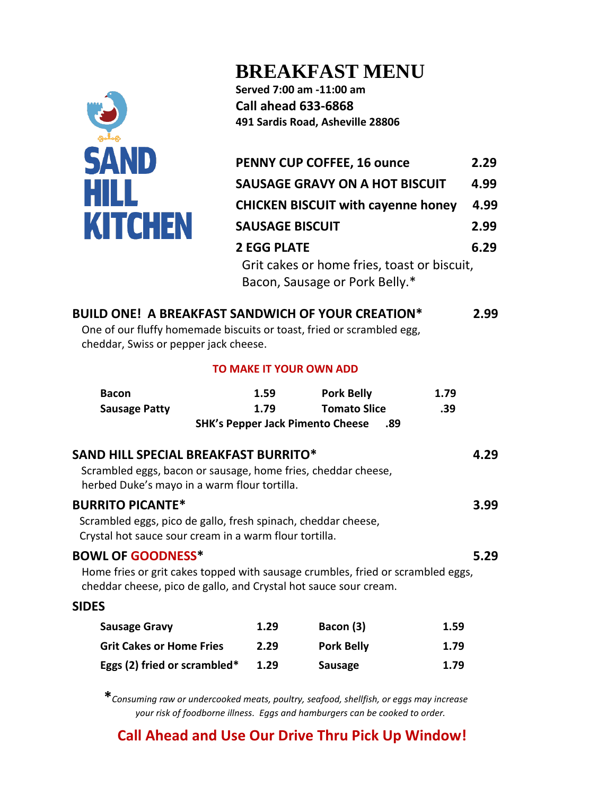

# **BREAKFAST MENU**

**Served 7:00 am -11:00 am Call ahead 633-6868 491 Sardis Road, Asheville 28806**

| <b>PENNY CUP COFFEE, 16 ounce</b>                                             | 2.29 |
|-------------------------------------------------------------------------------|------|
| <b>SAUSAGE GRAVY ON A HOT BISCUIT</b>                                         | 4.99 |
| <b>CHICKEN BISCUIT with cayenne honey</b>                                     | 4.99 |
| <b>SAUSAGE BISCUIT</b>                                                        | 2.99 |
| <b>2 EGG PLATE</b>                                                            | 6.29 |
| Grit cakes or home fries, toast or biscuit,<br>Bacon, Sausage or Pork Belly.* |      |

### **BUILD ONE! A BREAKFAST SANDWICH OF YOUR CREATION\* 2.99**

One of our fluffy homemade biscuits or toast, fried or scrambled egg, cheddar, Swiss or pepper jack cheese.

#### **TO MAKE IT YOUR OWN ADD**

| <b>Bacon</b>                                                                                                                                                                    | 1.59 | <b>Pork Belly</b>   | 1.79 |  |  |  |
|---------------------------------------------------------------------------------------------------------------------------------------------------------------------------------|------|---------------------|------|--|--|--|
| <b>Sausage Patty</b>                                                                                                                                                            | 1.79 | <b>Tomato Slice</b> | .39  |  |  |  |
| <b>SHK's Pepper Jack Pimento Cheese</b><br>.89                                                                                                                                  |      |                     |      |  |  |  |
| <b>SAND HILL SPECIAL BREAKFAST BURRITO*</b><br>Scrambled eggs, bacon or sausage, home fries, cheddar cheese,<br>herbed Duke's mayo in a warm flour tortilla.                    |      |                     | 4.29 |  |  |  |
| <b>BURRITO PICANTE*</b><br>Scrambled eggs, pico de gallo, fresh spinach, cheddar cheese,<br>Crystal hot sauce sour cream in a warm flour tortilla.                              |      |                     | 3.99 |  |  |  |
| <b>BOWL OF GOODNESS*</b><br>Home fries or grit cakes topped with sausage crumbles, fried or scrambled eggs,<br>cheddar cheese, pico de gallo, and Crystal hot sauce sour cream. |      |                     | 5.29 |  |  |  |
| <b>SIDES</b>                                                                                                                                                                    |      |                     |      |  |  |  |
| <b>Sausage Gravy</b>                                                                                                                                                            | 1.29 | Bacon (3)           | 1.59 |  |  |  |
| <b>Grit Cakes or Home Fries</b>                                                                                                                                                 | 2.29 | <b>Pork Belly</b>   | 1.79 |  |  |  |
| Eggs (2) fried or scrambled*                                                                                                                                                    | 1.29 | <b>Sausage</b>      | 1.79 |  |  |  |

**\****Consuming raw or undercooked meats, poultry, seafood, shellfish, or eggs may increase your risk of foodborne illness. Eggs and hamburgers can be cooked to order.*

## **Call Ahead and Use Our Drive Thru Pick Up Window!**